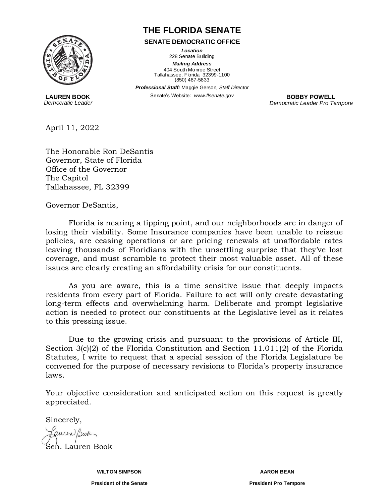

**LAUREN BOOK** *Democratic Leader*

## **THE FLORIDA SENATE**

**SENATE DEMOCRATIC OFFICE**

*Location* 228 Senate Building

*Mailing Address* 404 South Monroe Street Tallahassee, Florida 32399-1100 (850) 487-5833

*Professional Staff:* Maggie Gerson*, Staff Director*

Senate's Website: www.flsenate.gov **BOBBY POWELL** 

*Democratic Leader Pro Tempore*

April 11, 2022

The Honorable Ron DeSantis Governor, State of Florida Office of the Governor The Capitol Tallahassee, FL 32399

Governor DeSantis,

Florida is nearing a tipping point, and our neighborhoods are in danger of losing their viability. Some Insurance companies have been unable to reissue policies, are ceasing operations or are pricing renewals at unaffordable rates leaving thousands of Floridians with the unsettling surprise that they've lost coverage, and must scramble to protect their most valuable asset. All of these issues are clearly creating an affordability crisis for our constituents.

As you are aware, this is a time sensitive issue that deeply impacts residents from every part of Florida. Failure to act will only create devastating long-term effects and overwhelming harm. Deliberate and prompt legislative action is needed to protect our constituents at the Legislative level as it relates to this pressing issue.

Due to the growing crisis and pursuant to the provisions of Article III, Section 3(c)(2) of the Florida Constitution and Section 11.011(2) of the Florida Statutes, I write to request that a special session of the Florida Legislature be convened for the purpose of necessary revisions to Florida's property insurance laws.

Your objective consideration and anticipated action on this request is greatly appreciated.

Sincerely,

auren Book Sen. Lauren Book

**WILTON SIMPSON AARON BEAN**

**President of the Senate President Pro Tempore**